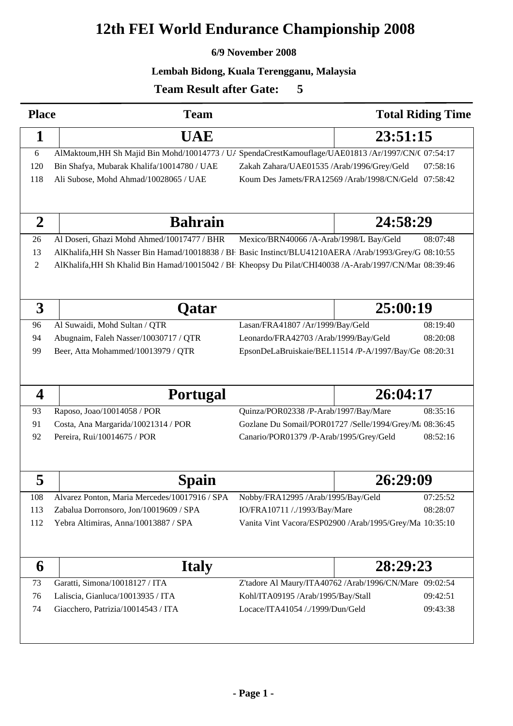# **12th FEI World Endurance Championship 2008**

## **6/9 November 2008**

### **Lembah Bidong, Kuala Terengganu, Malaysia**

<sup>60</sup>

# **Team Result after Gate:**

| <b>Place</b>            | <b>Team</b>                                                                                            |                                                                                                    |          | <b>Total Riding Time</b> |  |  |  |  |
|-------------------------|--------------------------------------------------------------------------------------------------------|----------------------------------------------------------------------------------------------------|----------|--------------------------|--|--|--|--|
| 1                       | <b>UAE</b>                                                                                             |                                                                                                    | 23:51:15 |                          |  |  |  |  |
| 6                       | AlMaktoum, HH Sh Majid Bin Mohd/10014773 / U/ SpendaCrestKamouflage/UAE01813 /Ar/1997/CN/( 07:54:17    |                                                                                                    |          |                          |  |  |  |  |
| 120                     | Bin Shafya, Mubarak Khalifa/10014780 / UAE                                                             | Zakah Zahara/UAE01535 /Arab/1996/Grey/Geld                                                         |          | 07:58:16                 |  |  |  |  |
| 118                     | Ali Subose, Mohd Ahmad/10028065 / UAE                                                                  | Koum Des Jamets/FRA12569 /Arab/1998/CN/Geld 07:58:42                                               |          |                          |  |  |  |  |
|                         |                                                                                                        |                                                                                                    |          |                          |  |  |  |  |
| $\overline{2}$          | <b>Bahrain</b>                                                                                         |                                                                                                    | 24:58:29 |                          |  |  |  |  |
| 26                      | Al Doseri, Ghazi Mohd Ahmed/10017477 / BHR                                                             | Mexico/BRN40066 /A-Arab/1998/L Bay/Geld                                                            |          | 08:07:48                 |  |  |  |  |
| 13                      | AlKhalifa, HH Sh Nasser Bin Hamad/10018838 / BF Basic Instinct/BLU41210AERA /Arab/1993/Grey/G 08:10:55 |                                                                                                    |          |                          |  |  |  |  |
| 2                       | AlKhalifa, HH Sh Khalid Bin Hamad/10015042 / BF Kheopsy Du Pilat/CHI40038 /A-Arab/1997/CN/Mar 08:39:46 |                                                                                                    |          |                          |  |  |  |  |
| 3                       | Qatar                                                                                                  |                                                                                                    | 25:00:19 |                          |  |  |  |  |
| 96                      | Al Suwaidi, Mohd Sultan / QTR                                                                          | Lasan/FRA41807 /Ar/1999/Bay/Geld                                                                   |          | 08:19:40                 |  |  |  |  |
| 94                      | Abugnaim, Faleh Nasser/10030717 / QTR                                                                  | Leonardo/FRA42703 /Arab/1999/Bay/Geld                                                              |          | 08:20:08                 |  |  |  |  |
| 99                      | Beer, Atta Mohammed/10013979 / QTR                                                                     | EpsonDeLaBruiskaie/BEL11514 /P-A/1997/Bay/Ge 08:20:31                                              |          |                          |  |  |  |  |
| $\overline{\mathbf{4}}$ | <b>Portugal</b>                                                                                        |                                                                                                    | 26:04:17 |                          |  |  |  |  |
|                         |                                                                                                        |                                                                                                    |          |                          |  |  |  |  |
| 93<br>91                | Raposo, Joao/10014058 / POR                                                                            | Quinza/POR02338 /P-Arab/1997/Bay/Mare                                                              |          | 08:35:16                 |  |  |  |  |
| 92                      | Costa, Ana Margarida/10021314 / POR<br>Pereira, Rui/10014675 / POR                                     | Gozlane Du Somail/POR01727 /Selle/1994/Grey/M: 08:36:45<br>Canario/POR01379 /P-Arab/1995/Grey/Geld |          | 08:52:16                 |  |  |  |  |
|                         |                                                                                                        |                                                                                                    |          |                          |  |  |  |  |
| 5                       | Spain                                                                                                  |                                                                                                    | 26:29:09 |                          |  |  |  |  |
| 108                     | Alvarez Ponton, Maria Mercedes/10017916 / SPA                                                          | Nobby/FRA12995 /Arab/1995/Bay/Geld                                                                 |          | 07:25:52                 |  |  |  |  |
| 113                     | Zabalua Dorronsoro, Jon/10019609 / SPA                                                                 | IO/FRA10711 /./1993/Bay/Mare                                                                       |          | 08:28:07                 |  |  |  |  |
| 112                     | Yebra Altimiras, Anna/10013887 / SPA                                                                   | Vanita Vint Vacora/ESP02900 /Arab/1995/Grey/Ma 10:35:10                                            |          |                          |  |  |  |  |
|                         |                                                                                                        |                                                                                                    |          |                          |  |  |  |  |
| 6                       | <b>Italy</b>                                                                                           |                                                                                                    |          | 28:29:23                 |  |  |  |  |
| 73                      | Garatti, Simona/10018127 / ITA                                                                         | Z'tadore Al Maury/ITA40762 /Arab/1996/CN/Mare 09:02:54                                             |          |                          |  |  |  |  |
| 76                      | Laliscia, Gianluca/10013935 / ITA                                                                      | Kohl/ITA09195 /Arab/1995/Bay/Stall                                                                 |          | 09:42:51                 |  |  |  |  |
| 74                      | Giacchero, Patrizia/10014543 / ITA                                                                     | Locace/ITA41054 /./1999/Dun/Geld                                                                   |          | 09:43:38                 |  |  |  |  |
|                         |                                                                                                        |                                                                                                    |          |                          |  |  |  |  |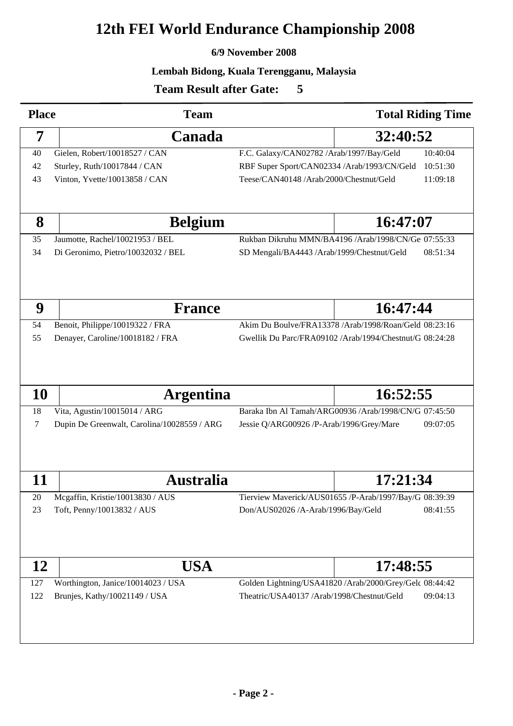# **12th FEI World Endurance Championship 2008**

## **6/9 November 2008**

## **Lembah Bidong, Kuala Terengganu, Malaysia**

<sup>60</sup>

# **Team Result after Gate:**

| <b>Place</b> | <b>Team</b>                                 |                                                         | <b>Total Riding Time</b>                               |  |
|--------------|---------------------------------------------|---------------------------------------------------------|--------------------------------------------------------|--|
| 7            | Canada                                      |                                                         | 32:40:52                                               |  |
| 40           | Gielen, Robert/10018527 / CAN               | F.C. Galaxy/CAN02782 /Arab/1997/Bay/Geld<br>10:40:04    |                                                        |  |
| 42           | Sturley, Ruth/10017844 / CAN                | RBF Super Sport/CAN02334 /Arab/1993/CN/Geld<br>10:51:30 |                                                        |  |
| 43           | Vinton, Yvette/10013858 / CAN               | Teese/CAN40148 /Arab/2000/Chestnut/Geld<br>11:09:18     |                                                        |  |
|              |                                             |                                                         |                                                        |  |
| 8            | <b>Belgium</b>                              | 16:47:07                                                |                                                        |  |
| 35           | Jaumotte, Rachel/10021953 / BEL             |                                                         | Rukban Dikruhu MMN/BA4196 /Arab/1998/CN/Ge 07:55:33    |  |
| 34           | Di Geronimo, Pietro/10032032 / BEL          | 08:51:34<br>SD Mengali/BA4443 /Arab/1999/Chestnut/Geld  |                                                        |  |
|              |                                             |                                                         |                                                        |  |
| 9            | <b>France</b>                               |                                                         | 16:47:44                                               |  |
| 54           | Benoit, Philippe/10019322 / FRA             |                                                         | Akim Du Boulve/FRA13378 /Arab/1998/Roan/Geld 08:23:16  |  |
| 55           | Denayer, Caroline/10018182 / FRA            | Gwellik Du Parc/FRA09102 /Arab/1994/Chestnut/G 08:24:28 |                                                        |  |
| <b>10</b>    | <b>Argentina</b>                            |                                                         | 16:52:55                                               |  |
| 18           | Vita, Agustin/10015014 / ARG                | Baraka Ibn Al Tamah/ARG00936 /Arab/1998/CN/G 07:45:50   |                                                        |  |
| 7            | Dupin De Greenwalt, Carolina/10028559 / ARG | Jessie Q/ARG00926 /P-Arab/1996/Grey/Mare                | 09:07:05                                               |  |
| 11           | <b>Australia</b>                            |                                                         | 17:21:34                                               |  |
| 20           | Mcgaffin, Kristie/10013830 / AUS            |                                                         | Tierview Maverick/AUS01655 /P-Arab/1997/Bay/G 08:39:39 |  |
| 23           | Toft, Penny/10013832 / AUS                  | Don/AUS02026 /A-Arab/1996/Bay/Geld                      | 08:41:55                                               |  |
|              |                                             |                                                         |                                                        |  |
| 12           | USA                                         |                                                         | 17:48:55                                               |  |
| 127          | Worthington, Janice/10014023 / USA          | Golden Lightning/USA41820 /Arab/2000/Grey/Gelc 08:44:42 |                                                        |  |
| 122          | Brunjes, Kathy/10021149 / USA               | Theatric/USA40137 /Arab/1998/Chestnut/Geld<br>09:04:13  |                                                        |  |
|              |                                             |                                                         |                                                        |  |